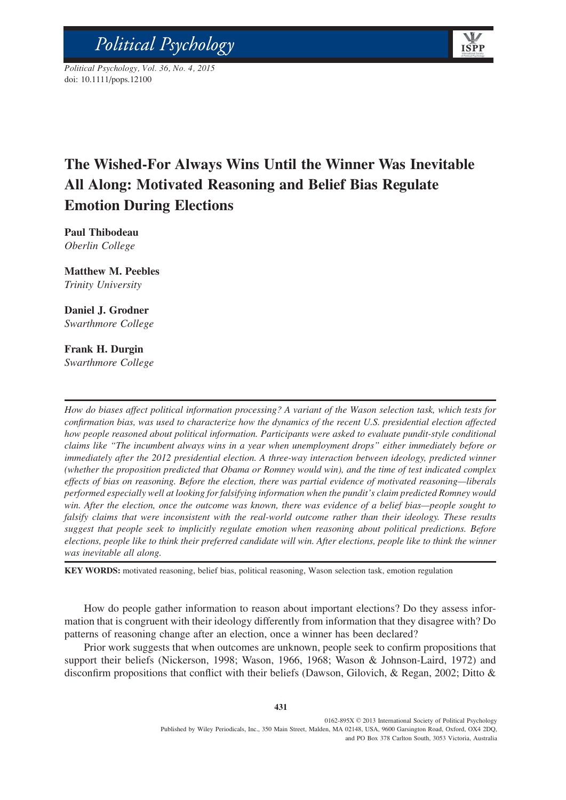*Political Psychology, Vol. xx, No. xx, 2013* Political Psychology, Vol. 36, No. 4, 2015 doi: 10.1111/pops.12100



# **The Wished-For Always Wins Until the Winner Was Inevitable All Along: Motivated Reasoning and Belief Bias Regulate Emotion During Elections**

**Paul Thibodeau** *Oberlin College*

bs\_bs\_banner

**Matthew M. Peebles** *Trinity University*

**Daniel J. Grodner** *Swarthmore College*

**Frank H. Durgin**

*Swarthmore College*

*How do biases affect political information processing? A variant of the Wason selection task, which tests for confirmation bias, was used to characterize how the dynamics of the recent U.S. presidential election affected how people reasoned about political information. Participants were asked to evaluate pundit-style conditional claims like "The incumbent always wins in a year when unemployment drops" either immediately before or immediately after the 2012 presidential election. A three-way interaction between ideology, predicted winner (whether the proposition predicted that Obama or Romney would win), and the time of test indicated complex effects of bias on reasoning. Before the election, there was partial evidence of motivated reasoning—liberals performed especially well at looking for falsifying information when the pundit's claim predicted Romney would win. After the election, once the outcome was known, there was evidence of a belief bias—people sought to falsify claims that were inconsistent with the real-world outcome rather than their ideology. These results suggest that people seek to implicitly regulate emotion when reasoning about political predictions. Before elections, people like to think their preferred candidate will win. After elections, people like to think the winner was inevitable all along.*

**KEY WORDS:** motivated reasoning, belief bias, political reasoning, Wason selection task, emotion regulation

How do people gather information to reason about important elections? Do they assess information that is congruent with their ideology differently from information that they disagree with? Do patterns of reasoning change after an election, once a winner has been declared?

Prior work suggests that when outcomes are unknown, people seek to confirm propositions that support their beliefs (Nickerson, 1998; Wason, 1966, 1968; Wason & Johnson-Laird, 1972) and disconfirm propositions that conflict with their beliefs (Dawson, Gilovich, & Regan, 2002; Ditto &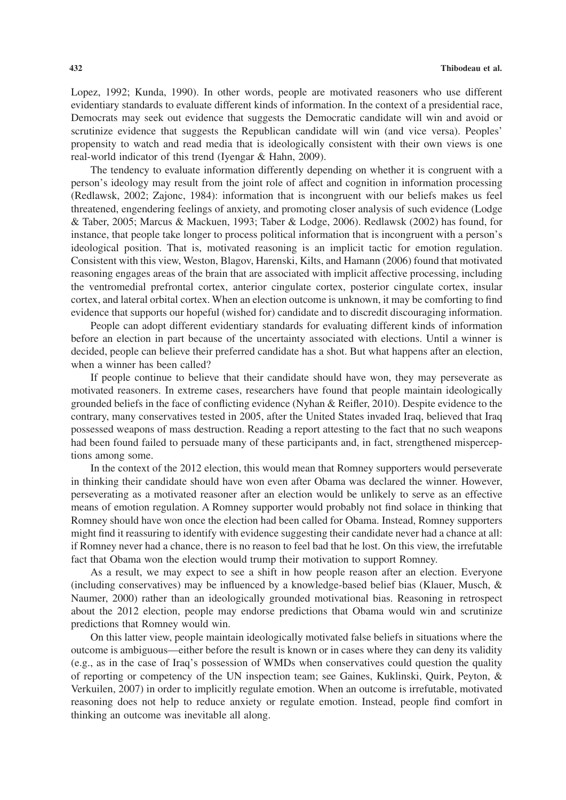Lopez, 1992; Kunda, 1990). In other words, people are motivated reasoners who use different evidentiary standards to evaluate different kinds of information. In the context of a presidential race, Democrats may seek out evidence that suggests the Democratic candidate will win and avoid or scrutinize evidence that suggests the Republican candidate will win (and vice versa). Peoples' propensity to watch and read media that is ideologically consistent with their own views is one real-world indicator of this trend (Iyengar & Hahn, 2009).

The tendency to evaluate information differently depending on whether it is congruent with a person's ideology may result from the joint role of affect and cognition in information processing (Redlawsk, 2002; Zajonc, 1984): information that is incongruent with our beliefs makes us feel threatened, engendering feelings of anxiety, and promoting closer analysis of such evidence (Lodge & Taber, 2005; Marcus & Mackuen, 1993; Taber & Lodge, 2006). Redlawsk (2002) has found, for instance, that people take longer to process political information that is incongruent with a person's ideological position. That is, motivated reasoning is an implicit tactic for emotion regulation. Consistent with this view, Weston, Blagov, Harenski, Kilts, and Hamann (2006) found that motivated reasoning engages areas of the brain that are associated with implicit affective processing, including the ventromedial prefrontal cortex, anterior cingulate cortex, posterior cingulate cortex, insular cortex, and lateral orbital cortex. When an election outcome is unknown, it may be comforting to find evidence that supports our hopeful (wished for) candidate and to discredit discouraging information.

People can adopt different evidentiary standards for evaluating different kinds of information before an election in part because of the uncertainty associated with elections. Until a winner is decided, people can believe their preferred candidate has a shot. But what happens after an election, when a winner has been called?

If people continue to believe that their candidate should have won, they may perseverate as motivated reasoners. In extreme cases, researchers have found that people maintain ideologically grounded beliefs in the face of conflicting evidence (Nyhan & Reifler, 2010). Despite evidence to the contrary, many conservatives tested in 2005, after the United States invaded Iraq, believed that Iraq possessed weapons of mass destruction. Reading a report attesting to the fact that no such weapons had been found failed to persuade many of these participants and, in fact, strengthened misperceptions among some.

In the context of the 2012 election, this would mean that Romney supporters would perseverate in thinking their candidate should have won even after Obama was declared the winner. However, perseverating as a motivated reasoner after an election would be unlikely to serve as an effective means of emotion regulation. A Romney supporter would probably not find solace in thinking that Romney should have won once the election had been called for Obama. Instead, Romney supporters might find it reassuring to identify with evidence suggesting their candidate never had a chance at all: if Romney never had a chance, there is no reason to feel bad that he lost. On this view, the irrefutable fact that Obama won the election would trump their motivation to support Romney.

As a result, we may expect to see a shift in how people reason after an election. Everyone (including conservatives) may be influenced by a knowledge-based belief bias (Klauer, Musch, & Naumer, 2000) rather than an ideologically grounded motivational bias. Reasoning in retrospect about the 2012 election, people may endorse predictions that Obama would win and scrutinize predictions that Romney would win.

On this latter view, people maintain ideologically motivated false beliefs in situations where the outcome is ambiguous—either before the result is known or in cases where they can deny its validity (e.g., as in the case of Iraq's possession of WMDs when conservatives could question the quality of reporting or competency of the UN inspection team; see Gaines, Kuklinski, Quirk, Peyton, & Verkuilen, 2007) in order to implicitly regulate emotion. When an outcome is irrefutable, motivated reasoning does not help to reduce anxiety or regulate emotion. Instead, people find comfort in thinking an outcome was inevitable all along.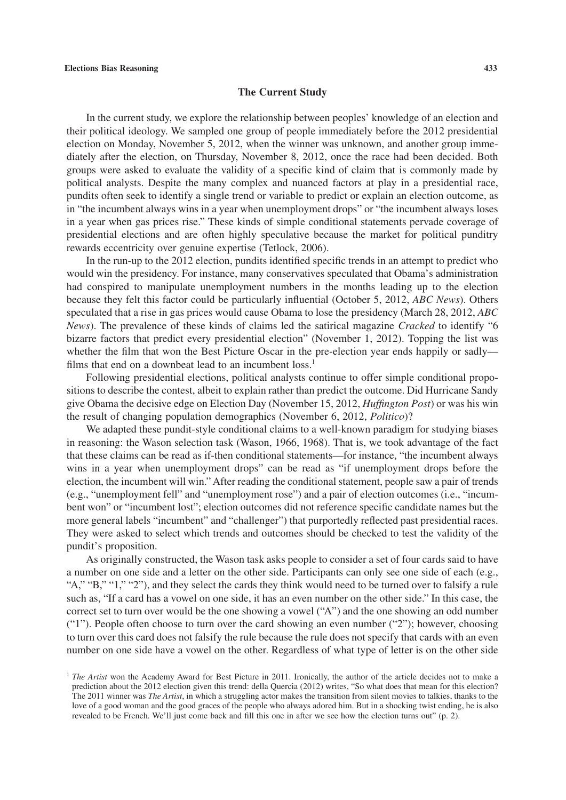#### **The Current Study**

In the current study, we explore the relationship between peoples' knowledge of an election and their political ideology. We sampled one group of people immediately before the 2012 presidential election on Monday, November 5, 2012, when the winner was unknown, and another group immediately after the election, on Thursday, November 8, 2012, once the race had been decided. Both groups were asked to evaluate the validity of a specific kind of claim that is commonly made by political analysts. Despite the many complex and nuanced factors at play in a presidential race, pundits often seek to identify a single trend or variable to predict or explain an election outcome, as in "the incumbent always wins in a year when unemployment drops" or "the incumbent always loses in a year when gas prices rise." These kinds of simple conditional statements pervade coverage of presidential elections and are often highly speculative because the market for political punditry rewards eccentricity over genuine expertise (Tetlock, 2006).

In the run-up to the 2012 election, pundits identified specific trends in an attempt to predict who would win the presidency. For instance, many conservatives speculated that Obama's administration had conspired to manipulate unemployment numbers in the months leading up to the election because they felt this factor could be particularly influential (October 5, 2012, *ABC News*). Others speculated that a rise in gas prices would cause Obama to lose the presidency (March 28, 2012, *ABC News*). The prevalence of these kinds of claims led the satirical magazine *Cracked* to identify "6 bizarre factors that predict every presidential election" (November 1, 2012). Topping the list was whether the film that won the Best Picture Oscar in the pre-election year ends happily or sadly films that end on a downbeat lead to an incumbent loss.<sup>1</sup>

Following presidential elections, political analysts continue to offer simple conditional propositions to describe the contest, albeit to explain rather than predict the outcome. Did Hurricane Sandy give Obama the decisive edge on Election Day (November 15, 2012, *Huffington Post*) or was his win the result of changing population demographics (November 6, 2012, *Politico*)?

We adapted these pundit-style conditional claims to a well-known paradigm for studying biases in reasoning: the Wason selection task (Wason, 1966, 1968). That is, we took advantage of the fact that these claims can be read as if-then conditional statements—for instance, "the incumbent always wins in a year when unemployment drops" can be read as "if unemployment drops before the election, the incumbent will win." After reading the conditional statement, people saw a pair of trends (e.g., "unemployment fell" and "unemployment rose") and a pair of election outcomes (i.e., "incumbent won" or "incumbent lost"; election outcomes did not reference specific candidate names but the more general labels "incumbent" and "challenger") that purportedly reflected past presidential races. They were asked to select which trends and outcomes should be checked to test the validity of the pundit's proposition.

As originally constructed, the Wason task asks people to consider a set of four cards said to have a number on one side and a letter on the other side. Participants can only see one side of each (e.g., "A," "B," "1," "2"), and they select the cards they think would need to be turned over to falsify a rule such as, "If a card has a vowel on one side, it has an even number on the other side." In this case, the correct set to turn over would be the one showing a vowel ("A") and the one showing an odd number ("1"). People often choose to turn over the card showing an even number ("2"); however, choosing to turn over this card does not falsify the rule because the rule does not specify that cards with an even number on one side have a vowel on the other. Regardless of what type of letter is on the other side

<sup>&</sup>lt;sup>1</sup> *The Artist* won the Academy Award for Best Picture in 2011. Ironically, the author of the article decides not to make a prediction about the 2012 election given this trend: della Quercia (2012) writes, "So what does that mean for this election? The 2011 winner was *The Artist*, in which a struggling actor makes the transition from silent movies to talkies, thanks to the love of a good woman and the good graces of the people who always adored him. But in a shocking twist ending, he is also revealed to be French. We'll just come back and fill this one in after we see how the election turns out" (p. 2).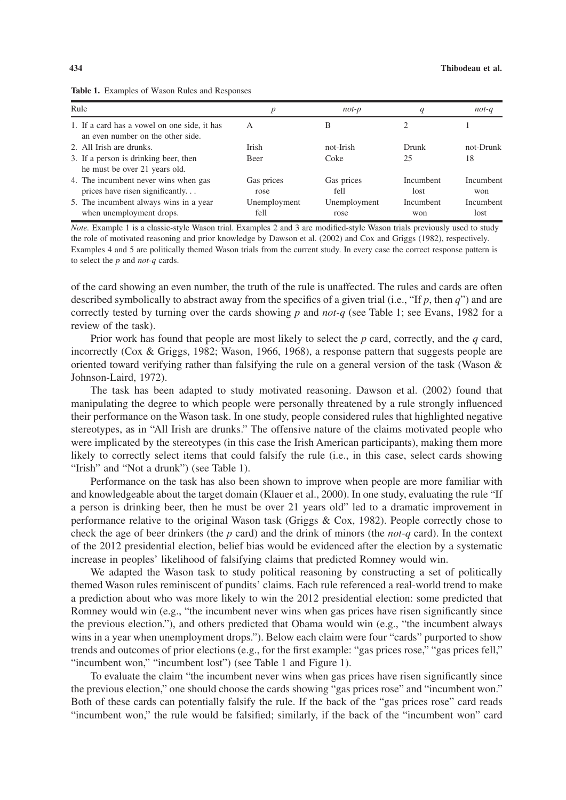| Rule                                                                              |                      | not-p                | q                  | $not - q$         |
|-----------------------------------------------------------------------------------|----------------------|----------------------|--------------------|-------------------|
| 1. If a card has a vowel on one side, it has<br>an even number on the other side. | A                    | В                    |                    |                   |
| 2. All Irish are drunks.                                                          | Irish                | not-Irish            | Drunk              | not-Drunk         |
| 3. If a person is drinking beer, then<br>he must be over 21 years old.            | <b>Beer</b>          | Coke                 | 25                 | 18                |
| 4. The incumbent never wins when gas<br>prices have risen significantly           | Gas prices<br>rose   | Gas prices<br>fell   | Incumbent<br>lost. | Incumbent<br>won  |
| 5. The incumbent always wins in a year<br>when unemployment drops.                | Unemployment<br>fell | Unemployment<br>rose | Incumbent<br>won   | Incumbent<br>lost |

*Note.* Example 1 is a classic-style Wason trial. Examples 2 and 3 are modified-style Wason trials previously used to study the role of motivated reasoning and prior knowledge by Dawson et al. (2002) and Cox and Griggs (1982), respectively. Examples 4 and 5 are politically themed Wason trials from the current study. In every case the correct response pattern is to select the *p* and *not-q* cards.

of the card showing an even number, the truth of the rule is unaffected. The rules and cards are often described symbolically to abstract away from the specifics of a given trial (i.e., "If *p*, then *q*") and are correctly tested by turning over the cards showing *p* and *not-q* (see Table 1; see Evans, 1982 for a review of the task).

Prior work has found that people are most likely to select the *p* card, correctly, and the *q* card, incorrectly (Cox & Griggs, 1982; Wason, 1966, 1968), a response pattern that suggests people are oriented toward verifying rather than falsifying the rule on a general version of the task (Wason & Johnson-Laird, 1972).

The task has been adapted to study motivated reasoning. Dawson et al. (2002) found that manipulating the degree to which people were personally threatened by a rule strongly influenced their performance on the Wason task. In one study, people considered rules that highlighted negative stereotypes, as in "All Irish are drunks." The offensive nature of the claims motivated people who were implicated by the stereotypes (in this case the Irish American participants), making them more likely to correctly select items that could falsify the rule (i.e., in this case, select cards showing "Irish" and "Not a drunk") (see Table 1).

Performance on the task has also been shown to improve when people are more familiar with and knowledgeable about the target domain (Klauer et al., 2000). In one study, evaluating the rule "If a person is drinking beer, then he must be over 21 years old" led to a dramatic improvement in performance relative to the original Wason task (Griggs & Cox, 1982). People correctly chose to check the age of beer drinkers (the *p* card) and the drink of minors (the *not-q* card). In the context of the 2012 presidential election, belief bias would be evidenced after the election by a systematic increase in peoples' likelihood of falsifying claims that predicted Romney would win.

We adapted the Wason task to study political reasoning by constructing a set of politically themed Wason rules reminiscent of pundits' claims. Each rule referenced a real-world trend to make a prediction about who was more likely to win the 2012 presidential election: some predicted that Romney would win (e.g., "the incumbent never wins when gas prices have risen significantly since the previous election."), and others predicted that Obama would win (e.g., "the incumbent always wins in a year when unemployment drops."). Below each claim were four "cards" purported to show trends and outcomes of prior elections (e.g., for the first example: "gas prices rose," "gas prices fell," "incumbent won," "incumbent lost") (see Table 1 and Figure 1).

To evaluate the claim "the incumbent never wins when gas prices have risen significantly since the previous election," one should choose the cards showing "gas prices rose" and "incumbent won." Both of these cards can potentially falsify the rule. If the back of the "gas prices rose" card reads "incumbent won," the rule would be falsified; similarly, if the back of the "incumbent won" card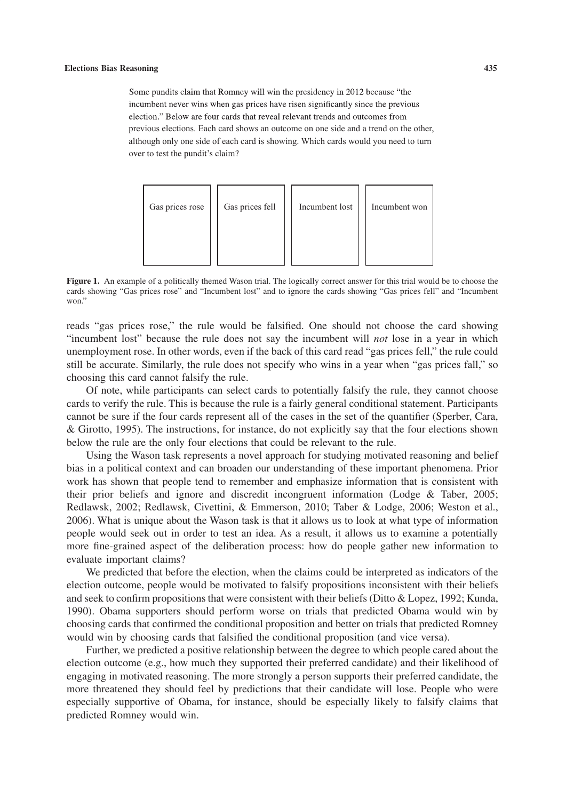Some pundits claim that Romney will win the presidency in 2012 because "the incumbent never wins when gas prices have risen significantly since the previous election." Below are four cards that reveal relevant trends and outcomes from previous elections. Each card shows an outcome on one side and a trend on the other, although only one side of each card is showing. Which cards would you need to turn over to test the pundit's claim?

| Gas prices rose | Gas prices fell | Incumbent lost | Incumbent won |
|-----------------|-----------------|----------------|---------------|
|                 |                 |                |               |

**Figure 1.** An example of a politically themed Wason trial. The logically correct answer for this trial would be to choose the cards showing "Gas prices rose" and "Incumbent lost" and to ignore the cards showing "Gas prices fell" and "Incumbent won."

reads "gas prices rose," the rule would be falsified. One should not choose the card showing "incumbent lost" because the rule does not say the incumbent will *not* lose in a year in which unemployment rose. In other words, even if the back of this card read "gas prices fell," the rule could still be accurate. Similarly, the rule does not specify who wins in a year when "gas prices fall," so choosing this card cannot falsify the rule.

Of note, while participants can select cards to potentially falsify the rule, they cannot choose cards to verify the rule. This is because the rule is a fairly general conditional statement. Participants cannot be sure if the four cards represent all of the cases in the set of the quantifier (Sperber, Cara, & Girotto, 1995). The instructions, for instance, do not explicitly say that the four elections shown below the rule are the only four elections that could be relevant to the rule.

Using the Wason task represents a novel approach for studying motivated reasoning and belief bias in a political context and can broaden our understanding of these important phenomena. Prior work has shown that people tend to remember and emphasize information that is consistent with their prior beliefs and ignore and discredit incongruent information (Lodge & Taber, 2005; Redlawsk, 2002; Redlawsk, Civettini, & Emmerson, 2010; Taber & Lodge, 2006; Weston et al., 2006). What is unique about the Wason task is that it allows us to look at what type of information people would seek out in order to test an idea. As a result, it allows us to examine a potentially more fine-grained aspect of the deliberation process: how do people gather new information to evaluate important claims?

We predicted that before the election, when the claims could be interpreted as indicators of the election outcome, people would be motivated to falsify propositions inconsistent with their beliefs and seek to confirm propositions that were consistent with their beliefs (Ditto & Lopez, 1992; Kunda, 1990). Obama supporters should perform worse on trials that predicted Obama would win by choosing cards that confirmed the conditional proposition and better on trials that predicted Romney would win by choosing cards that falsified the conditional proposition (and vice versa).

Further, we predicted a positive relationship between the degree to which people cared about the election outcome (e.g., how much they supported their preferred candidate) and their likelihood of engaging in motivated reasoning. The more strongly a person supports their preferred candidate, the more threatened they should feel by predictions that their candidate will lose. People who were especially supportive of Obama, for instance, should be especially likely to falsify claims that predicted Romney would win.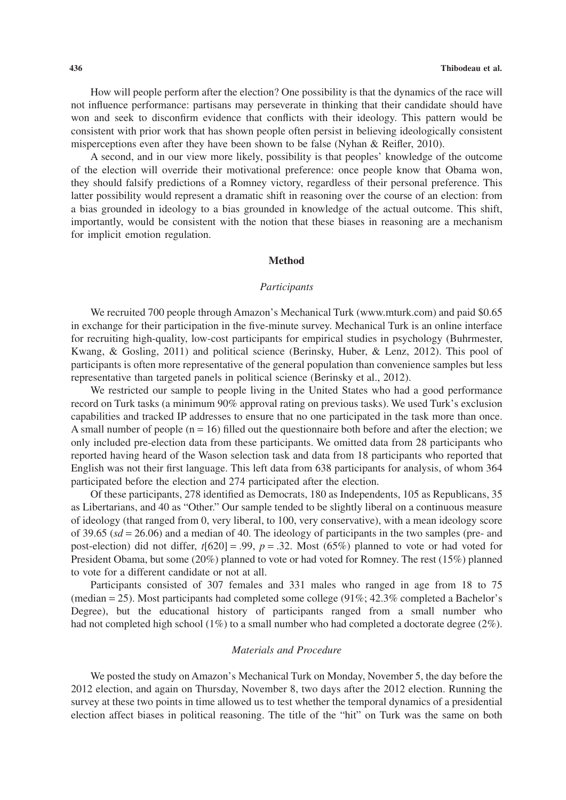How will people perform after the election? One possibility is that the dynamics of the race will not influence performance: partisans may perseverate in thinking that their candidate should have won and seek to disconfirm evidence that conflicts with their ideology. This pattern would be consistent with prior work that has shown people often persist in believing ideologically consistent misperceptions even after they have been shown to be false (Nyhan & Reifler, 2010).

A second, and in our view more likely, possibility is that peoples' knowledge of the outcome of the election will override their motivational preference: once people know that Obama won, they should falsify predictions of a Romney victory, regardless of their personal preference. This latter possibility would represent a dramatic shift in reasoning over the course of an election: from a bias grounded in ideology to a bias grounded in knowledge of the actual outcome. This shift, importantly, would be consistent with the notion that these biases in reasoning are a mechanism for implicit emotion regulation.

#### **Method**

## *Participants*

We recruited 700 people through Amazon's Mechanical Turk (www.mturk.com) and paid \$0.65 in exchange for their participation in the five-minute survey. Mechanical Turk is an online interface for recruiting high-quality, low-cost participants for empirical studies in psychology (Buhrmester, Kwang, & Gosling, 2011) and political science (Berinsky, Huber, & Lenz, 2012). This pool of participants is often more representative of the general population than convenience samples but less representative than targeted panels in political science (Berinsky et al., 2012).

We restricted our sample to people living in the United States who had a good performance record on Turk tasks (a minimum 90% approval rating on previous tasks). We used Turk's exclusion capabilities and tracked IP addresses to ensure that no one participated in the task more than once. A small number of people  $(n = 16)$  filled out the questionnaire both before and after the election; we only included pre-election data from these participants. We omitted data from 28 participants who reported having heard of the Wason selection task and data from 18 participants who reported that English was not their first language. This left data from 638 participants for analysis, of whom 364 participated before the election and 274 participated after the election.

Of these participants, 278 identified as Democrats, 180 as Independents, 105 as Republicans, 35 as Libertarians, and 40 as "Other." Our sample tended to be slightly liberal on a continuous measure of ideology (that ranged from 0, very liberal, to 100, very conservative), with a mean ideology score of 39.65 (*sd* = 26.06) and a median of 40. The ideology of participants in the two samples (pre- and post-election) did not differ, *t*[620] = .99, *p* = .32. Most (65%) planned to vote or had voted for President Obama, but some (20%) planned to vote or had voted for Romney. The rest (15%) planned to vote for a different candidate or not at all.

Participants consisted of 307 females and 331 males who ranged in age from 18 to 75 (median = 25). Most participants had completed some college (91%; 42.3% completed a Bachelor's Degree), but the educational history of participants ranged from a small number who had not completed high school (1%) to a small number who had completed a doctorate degree (2%).

## *Materials and Procedure*

We posted the study on Amazon's Mechanical Turk on Monday, November 5, the day before the 2012 election, and again on Thursday, November 8, two days after the 2012 election. Running the survey at these two points in time allowed us to test whether the temporal dynamics of a presidential election affect biases in political reasoning. The title of the "hit" on Turk was the same on both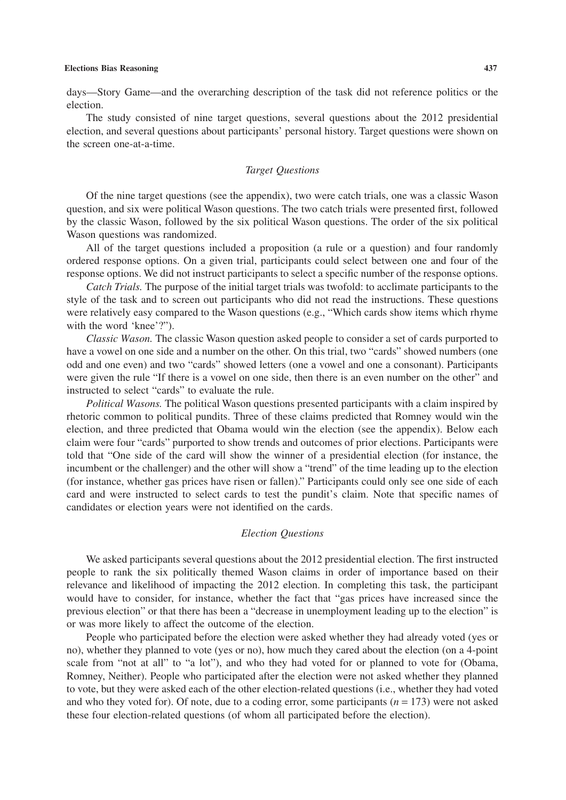## Elections Bias Reasoning **Elections Bias Reasoning** 437**7**

days—Story Game—and the overarching description of the task did not reference politics or the election.

The study consisted of nine target questions, several questions about the 2012 presidential election, and several questions about participants' personal history. Target questions were shown on the screen one-at-a-time.

#### *Target Questions*

Of the nine target questions (see the appendix), two were catch trials, one was a classic Wason question, and six were political Wason questions. The two catch trials were presented first, followed by the classic Wason, followed by the six political Wason questions. The order of the six political Wason questions was randomized.

All of the target questions included a proposition (a rule or a question) and four randomly ordered response options. On a given trial, participants could select between one and four of the response options. We did not instruct participants to select a specific number of the response options.

*Catch Trials.* The purpose of the initial target trials was twofold: to acclimate participants to the style of the task and to screen out participants who did not read the instructions. These questions were relatively easy compared to the Wason questions (e.g., "Which cards show items which rhyme with the word 'knee'?").

*Classic Wason.* The classic Wason question asked people to consider a set of cards purported to have a vowel on one side and a number on the other. On this trial, two "cards" showed numbers (one odd and one even) and two "cards" showed letters (one a vowel and one a consonant). Participants were given the rule "If there is a vowel on one side, then there is an even number on the other" and instructed to select "cards" to evaluate the rule.

*Political Wasons.* The political Wason questions presented participants with a claim inspired by rhetoric common to political pundits. Three of these claims predicted that Romney would win the election, and three predicted that Obama would win the election (see the appendix). Below each claim were four "cards" purported to show trends and outcomes of prior elections. Participants were told that "One side of the card will show the winner of a presidential election (for instance, the incumbent or the challenger) and the other will show a "trend" of the time leading up to the election (for instance, whether gas prices have risen or fallen)." Participants could only see one side of each card and were instructed to select cards to test the pundit's claim. Note that specific names of candidates or election years were not identified on the cards.

#### *Election Questions*

We asked participants several questions about the 2012 presidential election. The first instructed people to rank the six politically themed Wason claims in order of importance based on their relevance and likelihood of impacting the 2012 election. In completing this task, the participant would have to consider, for instance, whether the fact that "gas prices have increased since the previous election" or that there has been a "decrease in unemployment leading up to the election" is or was more likely to affect the outcome of the election.

People who participated before the election were asked whether they had already voted (yes or no), whether they planned to vote (yes or no), how much they cared about the election (on a 4-point scale from "not at all" to "a lot"), and who they had voted for or planned to vote for (Obama, Romney, Neither). People who participated after the election were not asked whether they planned to vote, but they were asked each of the other election-related questions (i.e., whether they had voted and who they voted for). Of note, due to a coding error, some participants (*n* = 173) were not asked these four election-related questions (of whom all participated before the election).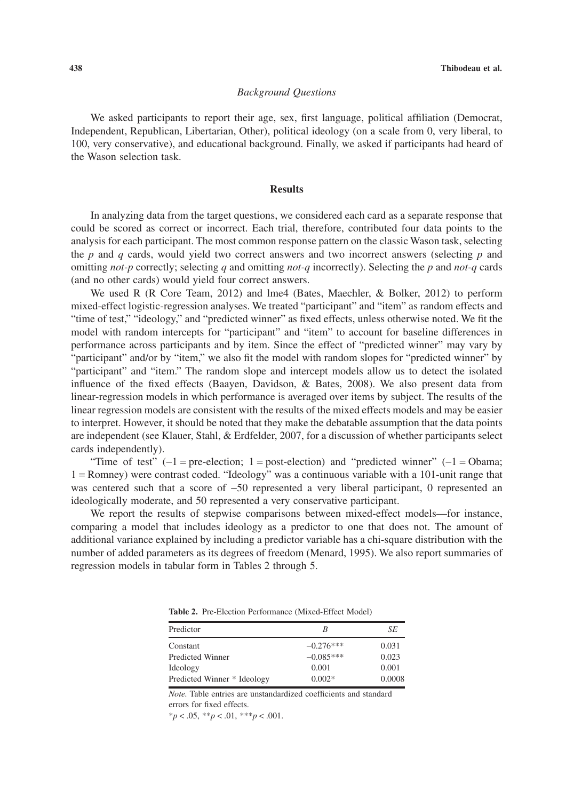#### *Background Questions*

We asked participants to report their age, sex, first language, political affiliation (Democrat, Independent, Republican, Libertarian, Other), political ideology (on a scale from 0, very liberal, to 100, very conservative), and educational background. Finally, we asked if participants had heard of the Wason selection task.

#### **Results**

In analyzing data from the target questions, we considered each card as a separate response that could be scored as correct or incorrect. Each trial, therefore, contributed four data points to the analysis for each participant. The most common response pattern on the classic Wason task, selecting the *p* and *q* cards, would yield two correct answers and two incorrect answers (selecting *p* and omitting *not-p* correctly; selecting *q* and omitting *not-q* incorrectly). Selecting the *p* and *not-q* cards (and no other cards) would yield four correct answers.

We used R (R Core Team, 2012) and lme4 (Bates, Maechler, & Bolker, 2012) to perform mixed-effect logistic-regression analyses. We treated "participant" and "item" as random effects and "time of test," "ideology," and "predicted winner" as fixed effects, unless otherwise noted. We fit the model with random intercepts for "participant" and "item" to account for baseline differences in performance across participants and by item. Since the effect of "predicted winner" may vary by "participant" and/or by "item," we also fit the model with random slopes for "predicted winner" by "participant" and "item." The random slope and intercept models allow us to detect the isolated influence of the fixed effects (Baayen, Davidson, & Bates, 2008). We also present data from linear-regression models in which performance is averaged over items by subject. The results of the linear regression models are consistent with the results of the mixed effects models and may be easier to interpret. However, it should be noted that they make the debatable assumption that the data points are independent (see Klauer, Stahl, & Erdfelder, 2007, for a discussion of whether participants select cards independently).

"Time of test"  $(-1)$  = pre-election; 1 = post-election) and "predicted winner"  $(-1)$  = Obama; 1 = Romney) were contrast coded. "Ideology" was a continuous variable with a 101-unit range that was centered such that a score of −50 represented a very liberal participant, 0 represented an ideologically moderate, and 50 represented a very conservative participant.

We report the results of stepwise comparisons between mixed-effect models—for instance, comparing a model that includes ideology as a predictor to one that does not. The amount of additional variance explained by including a predictor variable has a chi-square distribution with the number of added parameters as its degrees of freedom (Menard, 1995). We also report summaries of regression models in tabular form in Tables 2 through 5.

**Table 2.** Pre-Election Performance (Mixed-Effect Model)

| Predictor                   | R           | SE     |
|-----------------------------|-------------|--------|
| Constant                    | $-0.276***$ | 0.031  |
| Predicted Winner            | $-0.085***$ | 0.023  |
| Ideology                    | 0.001       | 0.001  |
| Predicted Winner * Ideology | $0.002*$    | 0.0008 |

*Note.* Table entries are unstandardized coefficients and standard errors for fixed effects.

\**p* < .05, \*\**p* < .01, \*\*\**p* < .001.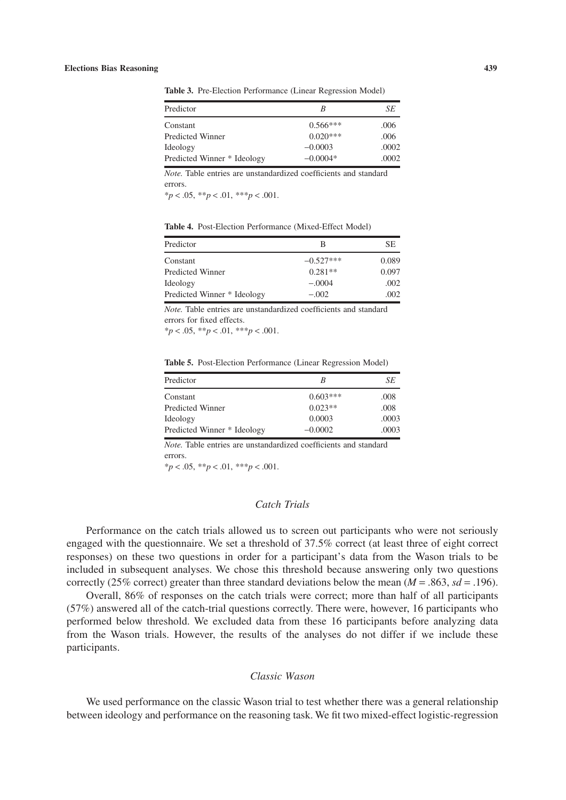| Table 3. Pre-Election Performance (Linear Regression Model) |  |  |  |
|-------------------------------------------------------------|--|--|--|
|-------------------------------------------------------------|--|--|--|

| Predictor                   | R          | SЕ    |
|-----------------------------|------------|-------|
| Constant                    | $0.566***$ | .006  |
| <b>Predicted Winner</b>     | $0.020***$ | .006  |
| Ideology                    | $-0.0003$  | .0002 |
| Predicted Winner * Ideology | $-0.0004*$ | .0002 |

*Note.* Table entries are unstandardized coefficients and standard errors.

\**p* < .05, \*\**p* < .01, \*\*\**p* < .001.

**Table 4.** Post-Election Performance (Mixed-Effect Model)

| Predictor                   | в           | SE    |
|-----------------------------|-------------|-------|
| Constant                    | $-0.527***$ | 0.089 |
| <b>Predicted Winner</b>     | $0.281**$   | 0.097 |
| Ideology                    | $-.0004$    | .002  |
| Predicted Winner * Ideology | $-.002$     | .002  |

*Note.* Table entries are unstandardized coefficients and standard errors for fixed effects.

\**p* < .05, \*\**p* < .01, \*\*\**p* < .001.

|  | Table 5. Post-Election Performance (Linear Regression Model) |  |  |  |  |
|--|--------------------------------------------------------------|--|--|--|--|
|--|--------------------------------------------------------------|--|--|--|--|

| Predictor                   | В          | SЕ    |
|-----------------------------|------------|-------|
| Constant                    | $0.603***$ | .008  |
| Predicted Winner            | $0.023**$  | .008  |
| Ideology                    | 0.0003     | .0003 |
| Predicted Winner * Ideology | $-0.0002$  | .0003 |

*Note.* Table entries are unstandardized coefficients and standard errors.

\**p* < .05, \*\**p* < .01, \*\*\**p* < .001.

## *Catch Trials*

Performance on the catch trials allowed us to screen out participants who were not seriously engaged with the questionnaire. We set a threshold of 37.5% correct (at least three of eight correct responses) on these two questions in order for a participant's data from the Wason trials to be included in subsequent analyses. We chose this threshold because answering only two questions correctly (25% correct) greater than three standard deviations below the mean ( $M = .863$ ,  $sd = .196$ ).

Overall, 86% of responses on the catch trials were correct; more than half of all participants (57%) answered all of the catch-trial questions correctly. There were, however, 16 participants who performed below threshold. We excluded data from these 16 participants before analyzing data from the Wason trials. However, the results of the analyses do not differ if we include these participants.

## *Classic Wason*

We used performance on the classic Wason trial to test whether there was a general relationship between ideology and performance on the reasoning task. We fit two mixed-effect logistic-regression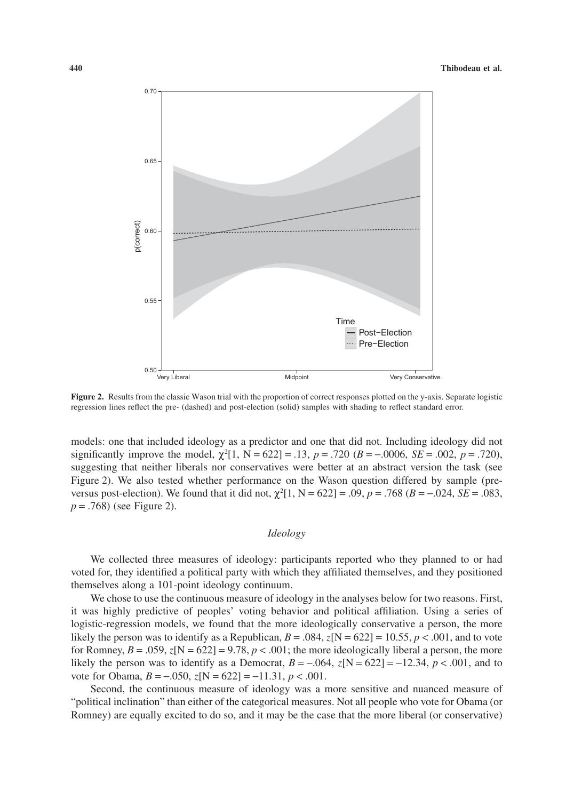

**Figure 2.** Results from the classic Wason trial with the proportion of correct responses plotted on the y-axis. Separate logistic regression lines reflect the pre- (dashed) and post-election (solid) samples with shading to reflect standard error.

models: one that included ideology as a predictor and one that did not. Including ideology did not significantly improve the model,  $\chi^2[1, N = 622] = .13$ ,  $p = .720$  ( $B = -.0006$ ,  $SE = .002$ ,  $p = .720$ ), suggesting that neither liberals nor conservatives were better at an abstract version the task (see Figure 2). We also tested whether performance on the Wason question differed by sample (preversus post-election). We found that it did not,  $\chi^2[1, N = 622] = .09, p = .768$  ( $B = -.024, SE = .083$ , *p* = .768) (see Figure 2).

## *Ideology*

We collected three measures of ideology: participants reported who they planned to or had voted for, they identified a political party with which they affiliated themselves, and they positioned themselves along a 101-point ideology continuum.

We chose to use the continuous measure of ideology in the analyses below for two reasons. First, it was highly predictive of peoples' voting behavior and political affiliation. Using a series of logistic-regression models, we found that the more ideologically conservative a person, the more likely the person was to identify as a Republican,  $B = .084$ ,  $z[N = 622] = 10.55$ ,  $p < .001$ , and to vote for Romney,  $B = .059$ ,  $z[N = 622] = 9.78$ ,  $p < .001$ ; the more ideologically liberal a person, the more likely the person was to identify as a Democrat,  $B = -.064$ ,  $z[N = 622] = -12.34$ ,  $p < .001$ , and to vote for Obama, *B* = −.050, *z*[N = 622] = −11.31, *p* < .001.

Second, the continuous measure of ideology was a more sensitive and nuanced measure of "political inclination" than either of the categorical measures. Not all people who vote for Obama (or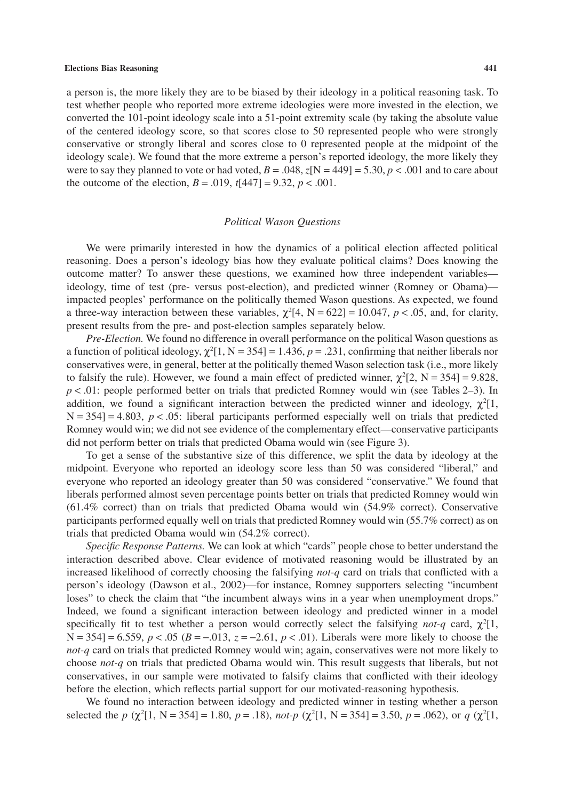#### **Elections Bias Reasoning A** 441

a person is, the more likely they are to be biased by their ideology in a political reasoning task. To test whether people who reported more extreme ideologies were more invested in the election, we converted the 101-point ideology scale into a 51-point extremity scale (by taking the absolute value of the centered ideology score, so that scores close to 50 represented people who were strongly conservative or strongly liberal and scores close to 0 represented people at the midpoint of the ideology scale). We found that the more extreme a person's reported ideology, the more likely they were to say they planned to vote or had voted,  $B = .048$ ,  $z[N = 449] = 5.30$ ,  $p < .001$  and to care about the outcome of the election,  $B = .019$ ,  $t[447] = 9.32$ ,  $p < .001$ .

#### *Political Wason Questions*

We were primarily interested in how the dynamics of a political election affected political reasoning. Does a person's ideology bias how they evaluate political claims? Does knowing the outcome matter? To answer these questions, we examined how three independent variables ideology, time of test (pre- versus post-election), and predicted winner (Romney or Obama) impacted peoples' performance on the politically themed Wason questions. As expected, we found a three-way interaction between these variables,  $\chi^2[4, N = 622] = 10.047$ ,  $p < .05$ , and, for clarity, present results from the pre- and post-election samples separately below.

*Pre-Election.* We found no difference in overall performance on the political Wason questions as a function of political ideology,  $\chi^2[1, N = 354] = 1.436$ ,  $p = .231$ , confirming that neither liberals nor conservatives were, in general, better at the politically themed Wason selection task (i.e., more likely to falsify the rule). However, we found a main effect of predicted winner,  $\chi^2$ [2, N = 354] = 9.828, *p* < .01: people performed better on trials that predicted Romney would win (see Tables 2–3). In addition, we found a significant interaction between the predicted winner and ideology,  $\chi^2[1]$ ,  $N = 354$ ] = 4.803,  $p < .05$ : liberal participants performed especially well on trials that predicted Romney would win; we did not see evidence of the complementary effect—conservative participants did not perform better on trials that predicted Obama would win (see Figure 3).

To get a sense of the substantive size of this difference, we split the data by ideology at the midpoint. Everyone who reported an ideology score less than 50 was considered "liberal," and everyone who reported an ideology greater than 50 was considered "conservative." We found that liberals performed almost seven percentage points better on trials that predicted Romney would win (61.4% correct) than on trials that predicted Obama would win (54.9% correct). Conservative participants performed equally well on trials that predicted Romney would win (55.7% correct) as on trials that predicted Obama would win (54.2% correct).

*Specific Response Patterns.* We can look at which "cards" people chose to better understand the interaction described above. Clear evidence of motivated reasoning would be illustrated by an increased likelihood of correctly choosing the falsifying *not-q* card on trials that conflicted with a person's ideology (Dawson et al., 2002)—for instance, Romney supporters selecting "incumbent loses" to check the claim that "the incumbent always wins in a year when unemployment drops." Indeed, we found a significant interaction between ideology and predicted winner in a model specifically fit to test whether a person would correctly select the falsifying *not-q* card,  $\chi^2[1,$ N = 354] = 6.559, *p* < .05 (*B* = −.013, *z* = −2.61, *p* < .01). Liberals were more likely to choose the *not-q* card on trials that predicted Romney would win; again, conservatives were not more likely to choose *not-q* on trials that predicted Obama would win. This result suggests that liberals, but not conservatives, in our sample were motivated to falsify claims that conflicted with their ideology before the election, which reflects partial support for our motivated-reasoning hypothesis.

We found no interaction between ideology and predicted winner in testing whether a person selected the *p* ( $\chi^2[1, N = 354] = 1.80$ , *p* = .18), *not-p* ( $\chi^2[1, N = 354] = 3.50$ , *p* = .062), or *q* ( $\chi^2[1, N = 354]$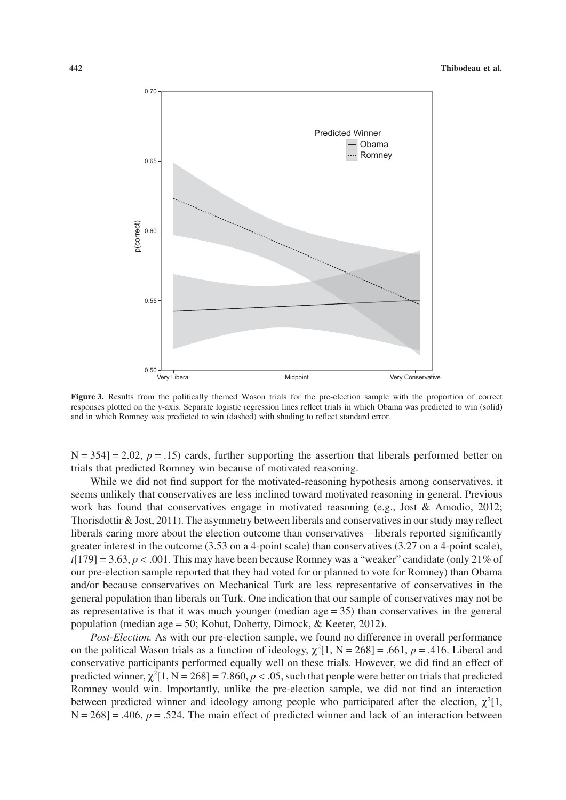

**Figure 3.** Results from the politically themed Wason trials for the pre-election sample with the proportion of correct responses plotted on the y-axis. Separate logistic regression lines reflect trials in which Obama was predicted to win (solid) and in which Romney was predicted to win (dashed) with shading to reflect standard error.

 $N = 354$ ] = 2.02,  $p = .15$ ) cards, further supporting the assertion that liberals performed better on trials that predicted Romney win because of motivated reasoning.

While we did not find support for the motivated-reasoning hypothesis among conservatives, it seems unlikely that conservatives are less inclined toward motivated reasoning in general. Previous work has found that conservatives engage in motivated reasoning (e.g., Jost & Amodio, 2012; Thorisdottir & Jost, 2011). The asymmetry between liberals and conservatives in our study may reflect liberals caring more about the election outcome than conservatives—liberals reported significantly greater interest in the outcome (3.53 on a 4-point scale) than conservatives (3.27 on a 4-point scale),  $t[179] = 3.63, p < .001$ . This may have been because Romney was a "weaker" candidate (only 21% of our pre-election sample reported that they had voted for or planned to vote for Romney) than Obama and/or because conservatives on Mechanical Turk are less representative of conservatives in the general population than liberals on Turk. One indication that our sample of conservatives may not be as representative is that it was much younger (median  $age = 35$ ) than conservatives in the general population (median age = 50; Kohut, Doherty, Dimock, & Keeter, 2012). N = 268, *p* < 0.01 Fits must be content of the main effect of prediction sample with the proportion of correct on the product of the main effect of prediction between prediction between prediction between prediction betw

*Post-Election.* As with our pre-election sample, we found no difference in overall performance on the political Wason trials as a function of ideology,  $\chi^2[1, N = 268] = .661$ ,  $p = .416$ . Liberal and conservative participants performed equally well on these trials. However, we did find an effect of predicted winner,  $\chi^2[1, N = 268] = 7.860, p < .05$ , such that people were better on trials that predicted Romney would win. Importantly, unlike the pre-election sample, we did not find an interaction between predicted winner and ideology among people who participated after the election,  $\chi^2[1,$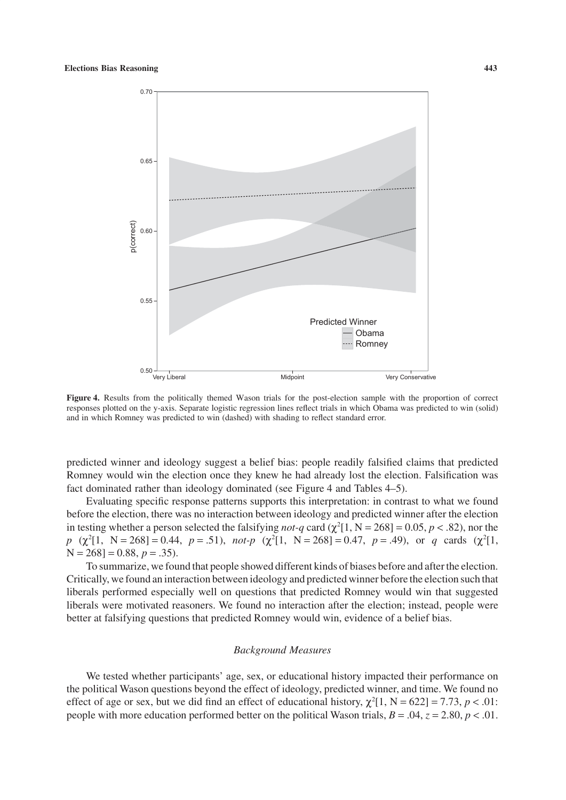

**Figure 4.** Results from the politically themed Wason trials for the post-election sample with the proportion of correct responses plotted on the y-axis. Separate logistic regression lines reflect trials in which Obama was predicted to win (solid) and in which Romney was predicted to win (dashed) with shading to reflect standard error.

predicted winner and ideology suggest a belief bias: people readily falsified claims that predicted Romney would win the election once they knew he had already lost the election. Falsification was fact dominated rather than ideology dominated (see Figure 4 and Tables 4–5).

Evaluating specific response patterns supports this interpretation: in contrast to what we found before the election, there was no interaction between ideology and predicted winner after the election in testing whether a person selected the falsifying *not-q* card ( $\chi^2[1, N = 268] = 0.05, p < .82$ ), nor the  $p \left( \chi^2[1, N = 268] \right) = 0.44, p = .51$ ,  $not-p \left( \chi^2[1, N = 268] \right) = 0.47, p = .49$ , or *q* cards  $(\chi^2[1, N = 268]) = 0.47$ .  $N = 268$ ] = 0.88,  $p = .35$ ).

To summarize, we found that people showed different kinds of biases before and after the election. Critically, we found an interaction between ideology and predicted winner before the election such that liberals performed especially well on questions that predicted Romney would win that suggested liberals were motivated reasoners. We found no interaction after the election; instead, people were better at falsifying questions that predicted Romney would win, evidence of a belief bias.

#### *Background Measures*

We tested whether participants' age, sex, or educational history impacted their performance on the political Wason questions beyond the effect of ideology, predicted winner, and time. We found no effect of age or sex, but we did find an effect of educational history,  $\chi^2[1, N = 622] = 7.73, p < .01$ :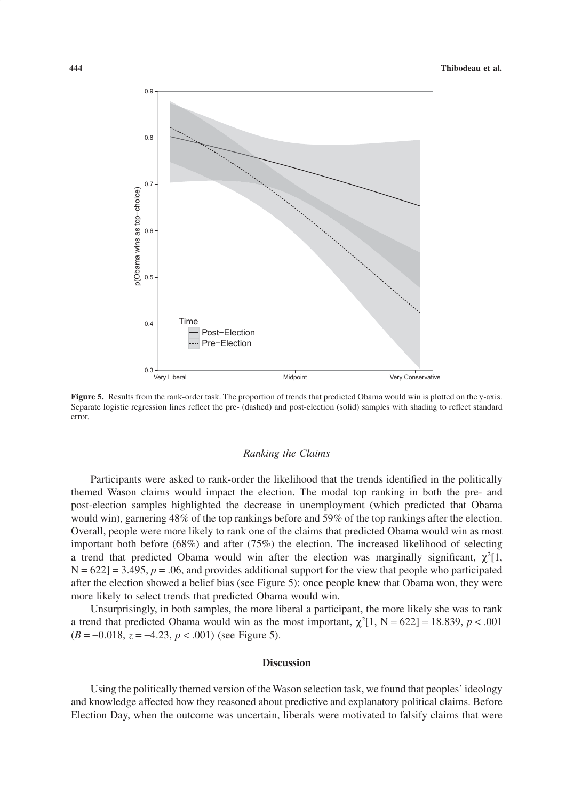

**Figure 5.** Results from the rank-order task. The proportion of trends that predicted Obama would win is plotted on the y-axis. Separate logistic regression lines reflect the pre- (dashed) and post-election (solid) samples with shading to reflect standard error.

## *Ranking the Claims*

Participants were asked to rank-order the likelihood that the trends identified in the politically themed Wason claims would impact the election. The modal top ranking in both the pre- and post-election samples highlighted the decrease in unemployment (which predicted that Obama would win), garnering 48% of the top rankings before and 59% of the top rankings after the election. Overall, people were more likely to rank one of the claims that predicted Obama would win as most important both before (68%) and after (75%) the election. The increased likelihood of selecting a trend that predicted Obama would win after the election was marginally significant,  $\chi^2[1,1]$  $N = 622$  = 3.495,  $p = .06$ , and provides additional support for the view that people who participated after the election showed a belief bias (see Figure 5): once people knew that Obama won, they were more likely to select trends that predicted Obama would win.

Unsurprisingly, in both samples, the more liberal a participant, the more likely she was to rank a trend that predicted Obama would win as the most important,  $\chi^2[1, N = 622] = 18.839, p < .001$ (*B* = −0.018, *z* = −4.23, *p* < .001) (see Figure 5).

#### **Discussion**

Using the politically themed version of theWason selection task, we found that peoples' ideology and knowledge affected how they reasoned about predictive and explanatory political claims. Before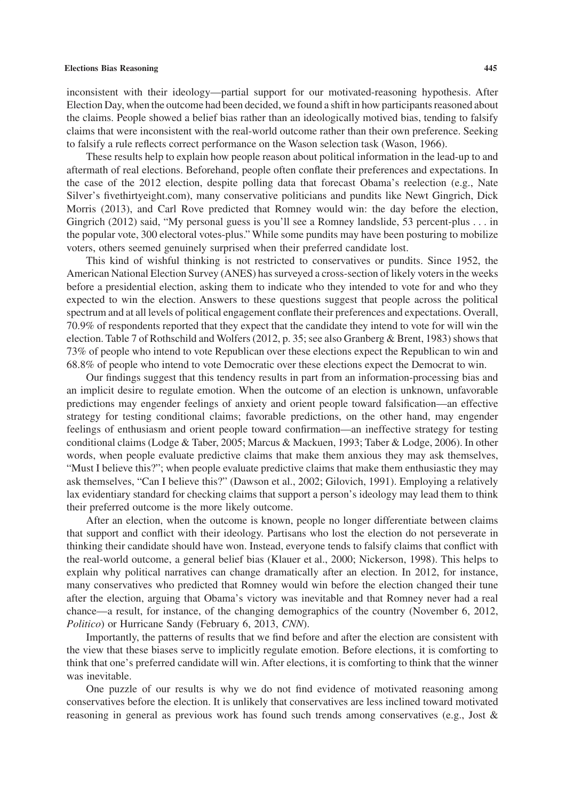## Elections Bias Reasoning **Elections Bias Reasoning** 445**15**

inconsistent with their ideology—partial support for our motivated-reasoning hypothesis. After Election Day, when the outcome had been decided, we found a shift in how participants reasoned about the claims. People showed a belief bias rather than an ideologically motived bias, tending to falsify claims that were inconsistent with the real-world outcome rather than their own preference. Seeking to falsify a rule reflects correct performance on the Wason selection task (Wason, 1966).

These results help to explain how people reason about political information in the lead-up to and aftermath of real elections. Beforehand, people often conflate their preferences and expectations. In the case of the 2012 election, despite polling data that forecast Obama's reelection (e.g., Nate Silver's fivethirtyeight.com), many conservative politicians and pundits like Newt Gingrich, Dick Morris (2013), and Carl Rove predicted that Romney would win: the day before the election, Gingrich (2012) said, "My personal guess is you'll see a Romney landslide, 53 percent-plus . . . in the popular vote, 300 electoral votes-plus." While some pundits may have been posturing to mobilize voters, others seemed genuinely surprised when their preferred candidate lost.

This kind of wishful thinking is not restricted to conservatives or pundits. Since 1952, the American National Election Survey (ANES) has surveyed a cross-section of likely voters in the weeks before a presidential election, asking them to indicate who they intended to vote for and who they expected to win the election. Answers to these questions suggest that people across the political spectrum and at all levels of political engagement conflate their preferences and expectations. Overall, 70.9% of respondents reported that they expect that the candidate they intend to vote for will win the election. Table 7 of Rothschild and Wolfers (2012, p. 35; see also Granberg & Brent, 1983) shows that 73% of people who intend to vote Republican over these elections expect the Republican to win and 68.8% of people who intend to vote Democratic over these elections expect the Democrat to win.

Our findings suggest that this tendency results in part from an information-processing bias and an implicit desire to regulate emotion. When the outcome of an election is unknown, unfavorable predictions may engender feelings of anxiety and orient people toward falsification—an effective strategy for testing conditional claims; favorable predictions, on the other hand, may engender feelings of enthusiasm and orient people toward confirmation—an ineffective strategy for testing conditional claims (Lodge & Taber, 2005; Marcus & Mackuen, 1993; Taber & Lodge, 2006). In other words, when people evaluate predictive claims that make them anxious they may ask themselves, "Must I believe this?"; when people evaluate predictive claims that make them enthusiastic they may ask themselves, "Can I believe this?" (Dawson et al., 2002; Gilovich, 1991). Employing a relatively lax evidentiary standard for checking claims that support a person's ideology may lead them to think their preferred outcome is the more likely outcome.

After an election, when the outcome is known, people no longer differentiate between claims that support and conflict with their ideology. Partisans who lost the election do not perseverate in thinking their candidate should have won. Instead, everyone tends to falsify claims that conflict with the real-world outcome, a general belief bias (Klauer et al., 2000; Nickerson, 1998). This helps to explain why political narratives can change dramatically after an election. In 2012, for instance, many conservatives who predicted that Romney would win before the election changed their tune after the election, arguing that Obama's victory was inevitable and that Romney never had a real chance—a result, for instance, of the changing demographics of the country (November 6, 2012, *Politico*) or Hurricane Sandy (February 6, 2013, *CNN*).

Importantly, the patterns of results that we find before and after the election are consistent with the view that these biases serve to implicitly regulate emotion. Before elections, it is comforting to think that one's preferred candidate will win. After elections, it is comforting to think that the winner was inevitable.

One puzzle of our results is why we do not find evidence of motivated reasoning among conservatives before the election. It is unlikely that conservatives are less inclined toward motivated reasoning in general as previous work has found such trends among conservatives (e.g., Jost &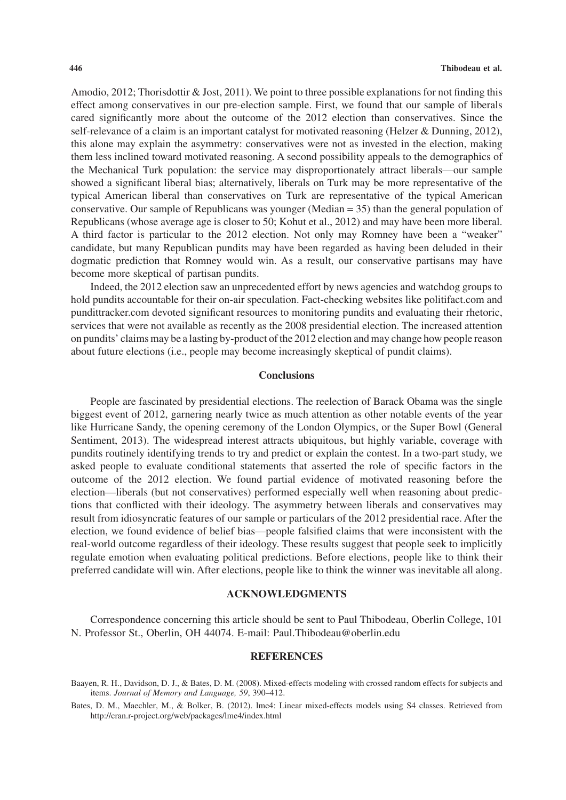Amodio, 2012; Thorisdottir & Jost, 2011). We point to three possible explanations for not finding this effect among conservatives in our pre-election sample. First, we found that our sample of liberals cared significantly more about the outcome of the 2012 election than conservatives. Since the self-relevance of a claim is an important catalyst for motivated reasoning (Helzer & Dunning, 2012), this alone may explain the asymmetry: conservatives were not as invested in the election, making them less inclined toward motivated reasoning. A second possibility appeals to the demographics of the Mechanical Turk population: the service may disproportionately attract liberals—our sample showed a significant liberal bias; alternatively, liberals on Turk may be more representative of the typical American liberal than conservatives on Turk are representative of the typical American conservative. Our sample of Republicans was younger (Median = 35) than the general population of Republicans (whose average age is closer to 50; Kohut et al., 2012) and may have been more liberal. A third factor is particular to the 2012 election. Not only may Romney have been a "weaker" candidate, but many Republican pundits may have been regarded as having been deluded in their dogmatic prediction that Romney would win. As a result, our conservative partisans may have become more skeptical of partisan pundits.

Indeed, the 2012 election saw an unprecedented effort by news agencies and watchdog groups to hold pundits accountable for their on-air speculation. Fact-checking websites like politifact.com and pundittracker.com devoted significant resources to monitoring pundits and evaluating their rhetoric, services that were not available as recently as the 2008 presidential election. The increased attention on pundits' claims may be a lasting by-product of the 2012 election and may change how people reason about future elections (i.e., people may become increasingly skeptical of pundit claims).

## **Conclusions**

People are fascinated by presidential elections. The reelection of Barack Obama was the single biggest event of 2012, garnering nearly twice as much attention as other notable events of the year like Hurricane Sandy, the opening ceremony of the London Olympics, or the Super Bowl (General Sentiment, 2013). The widespread interest attracts ubiquitous, but highly variable, coverage with pundits routinely identifying trends to try and predict or explain the contest. In a two-part study, we asked people to evaluate conditional statements that asserted the role of specific factors in the outcome of the 2012 election. We found partial evidence of motivated reasoning before the election—liberals (but not conservatives) performed especially well when reasoning about predictions that conflicted with their ideology. The asymmetry between liberals and conservatives may result from idiosyncratic features of our sample or particulars of the 2012 presidential race. After the election, we found evidence of belief bias—people falsified claims that were inconsistent with the real-world outcome regardless of their ideology. These results suggest that people seek to implicitly regulate emotion when evaluating political predictions. Before elections, people like to think their preferred candidate will win. After elections, people like to think the winner was inevitable all along.

#### **ACKNOWLEDGMENTS**

Correspondence concerning this article should be sent to Paul Thibodeau, Oberlin College, 101 N. Professor St., Oberlin, OH 44074. E-mail: Paul.Thibodeau@oberlin.edu

## **REFERENCES**

Baayen, R. H., Davidson, D. J., & Bates, D. M. (2008). Mixed-effects modeling with crossed random effects for subjects and items. *Journal of Memory and Language, 59*, 390–412.

Bates, D. M., Maechler, M., & Bolker, B. (2012). lme4: Linear mixed-effects models using S4 classes. Retrieved from http://cran.r-project.org/web/packages/lme4/index.html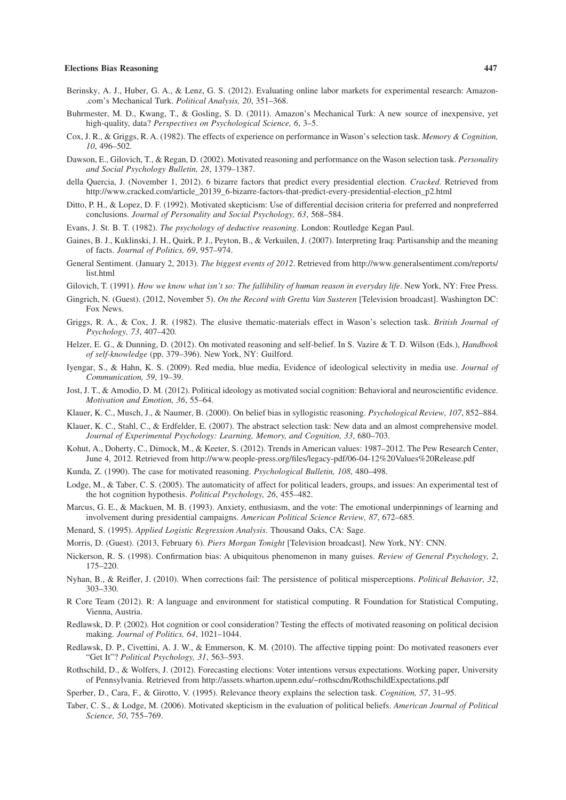#### Elections Bias Reasoning **Elections Bias Reasoning** 447**17**

- Berinsky, A. J., Huber, G. A., & Lenz, G. S. (2012). Evaluating online labor markets for experimental research: Amazon- .com's Mechanical Turk. *Political Analysis, 20*, 351–368.
- Buhrmester, M. D., Kwang, T., & Gosling, S. D. (2011). Amazon's Mechanical Turk: A new source of inexpensive, yet high-quality, data? *Perspectives on Psychological Science, 6*, 3–5.
- Cox, J. R., & Griggs, R. A. (1982). The effects of experience on performance in Wason's selection task. *Memory & Cognition, 10*, 496–502.
- Dawson, E., Gilovich, T., & Regan, D. (2002). Motivated reasoning and performance on the Wason selection task. *Personality and Social Psychology Bulletin, 28*, 1379–1387.
- della Quercia, J. (November 1, 2012). 6 bizarre factors that predict every presidential election. *Cracked*. Retrieved from http://www.cracked.com/article\_20139\_6-bizarre-factors-that-predict-every-presidential-election\_p2.html
- Ditto, P. H., & Lopez, D. F. (1992). Motivated skepticism: Use of differential decision criteria for preferred and nonpreferred conclusions. *Journal of Personality and Social Psychology, 63*, 568–584.
- Evans, J. St. B. T. (1982). *The psychology of deductive reasoning*. London: Routledge Kegan Paul.
- Gaines, B. J., Kuklinski, J. H., Quirk, P. J., Peyton, B., & Verkuilen, J. (2007). Interpreting Iraq: Partisanship and the meaning of facts. *Journal of Politics, 69*, 957–974.
- General Sentiment. (January 2, 2013). *The biggest events of 2012*. Retrieved from http://www.generalsentiment.com/reports/ list html
- Gilovich, T. (1991). *How we know what isn't so: The fallibility of human reason in everyday life*. New York, NY: Free Press.
- Gingrich, N. (Guest). (2012, November 5). *On the Record with Gretta Van Susteren* [Television broadcast]. Washington DC: Fox News.
- Griggs, R. A., & Cox, J. R. (1982). The elusive thematic-materials effect in Wason's selection task. *British Journal of Psychology, 73*, 407–420.
- Helzer, E. G., & Dunning, D. (2012). On motivated reasoning and self-belief. In S. Vazire & T. D. Wilson (Eds.), *Handbook of self-knowledge* (pp. 379–396). New York, NY: Guilford.
- Iyengar, S., & Hahn, K. S. (2009). Red media, blue media, Evidence of ideological selectivity in media use. *Journal of Communication, 59*, 19–39.
- Jost, J. T., & Amodio, D. M. (2012). Political ideology as motivated social cognition: Behavioral and neuroscientific evidence. *Motivation and Emotion, 36*, 55–64.
- Klauer, K. C., Musch, J., & Naumer, B. (2000). On belief bias in syllogistic reasoning. *Psychological Review, 107*, 852–884.
- Klauer, K. C., Stahl, C., & Erdfelder, E. (2007). The abstract selection task: New data and an almost comprehensive model. *Journal of Experimental Psychology: Learning, Memory, and Cognition, 33*, 680–703.
- Kohut, A., Doherty, C., Dimock, M., & Keeter, S. (2012). Trends in American values: 1987–2012. The Pew Research Center, June 4, 2012. Retrieved from http://www.people-press.org/files/legacy-pdf/06-04-12%20Values%20Release.pdf
- Kunda, Z. (1990). The case for motivated reasoning. *Psychological Bulletin, 108*, 480–498.
- Lodge, M., & Taber, C. S. (2005). The automaticity of affect for political leaders, groups, and issues: An experimental test of the hot cognition hypothesis. *Political Psychology, 26*, 455–482.
- Marcus, G. E., & Mackuen, M. B. (1993). Anxiety, enthusiasm, and the vote: The emotional underpinnings of learning and involvement during presidential campaigns. *American Political Science Review, 87*, 672–685.
- Menard, S. (1995). *Applied Logistic Regression Analysis*. Thousand Oaks, CA: Sage.
- Morris, D. (Guest). (2013, February 6). *Piers Morgan Tonight* [Television broadcast]. New York, NY: CNN.
- Nickerson, R. S. (1998). Confirmation bias: A ubiquitous phenomenon in many guises. *Review of General Psychology, 2*, 175–220.
- Nyhan, B., & Reifler, J. (2010). When corrections fail: The persistence of political misperceptions. *Political Behavior, 32*, 303–330.
- R Core Team (2012). R: A language and environment for statistical computing. R Foundation for Statistical Computing, Vienna, Austria.
- Redlawsk, D. P. (2002). Hot cognition or cool consideration? Testing the effects of motivated reasoning on political decision making. *Journal of Politics, 64*, 1021–1044.
- Redlawsk, D. P., Civettini, A. J. W., & Emmerson, K. M. (2010). The affective tipping point: Do motivated reasoners ever "Get It"? *Political Psychology, 31*, 563–593.
- Rothschild, D., & Wolfers, J. (2012). Forecasting elections: Voter intentions versus expectations. Working paper, University of Pennsylvania. Retrieved from http://assets.wharton.upenn.edu/~rothscdm/RothschildExpectations.pdf
- Sperber, D., Cara, F., & Girotto, V. (1995). Relevance theory explains the selection task. *Cognition, 57*, 31–95.
- Taber, C. S., & Lodge, M. (2006). Motivated skepticism in the evaluation of political beliefs. *American Journal of Political Science, 50*, 755–769.